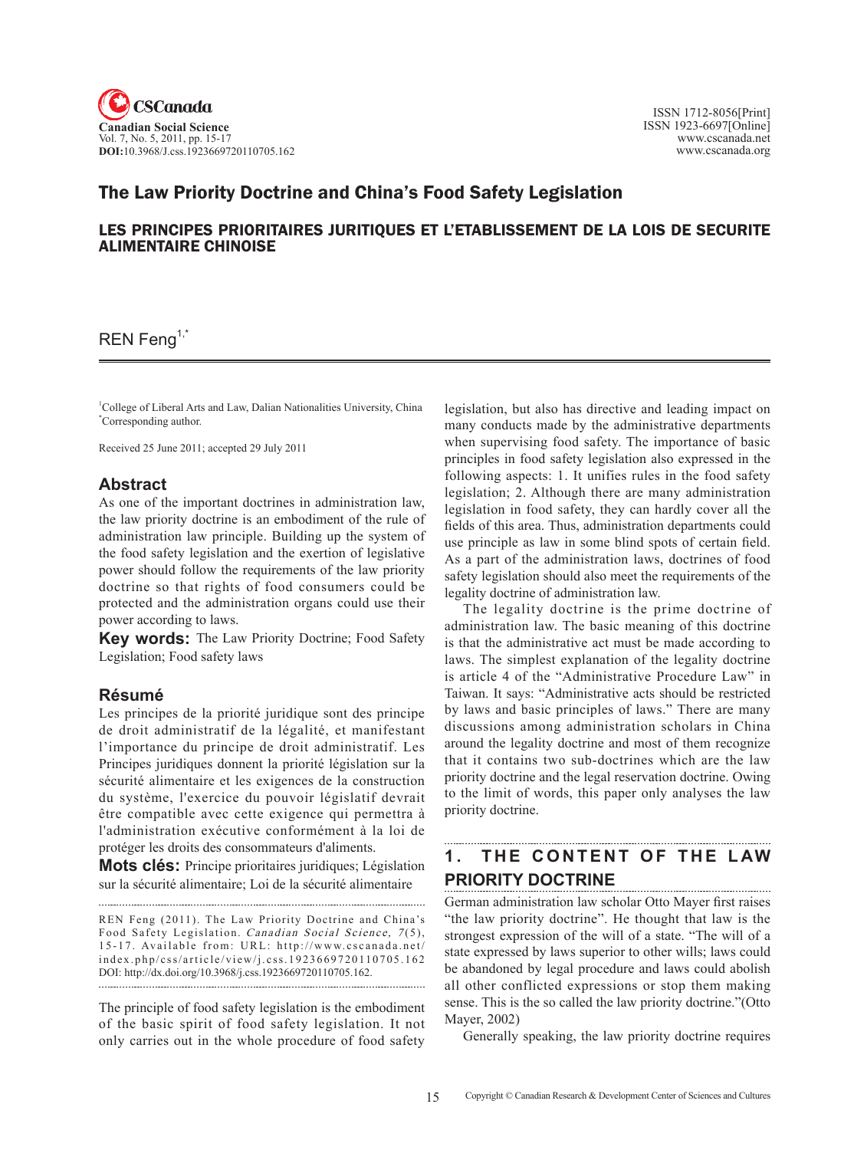

### The Law Priority Doctrine and China's Food Safety Legislation

#### LES PRINCIPES PRIORITAIRES JURITIQUES ET L'ETABLISSEMENT DE LA LOIS DE SECURITE ALIMENTAIRE CHINOISE

#### $REN$  Feng<sup>1, $\tilde{ }$ </sup>

<sup>1</sup>College of Liberal Arts and Law, Dalian Nationalities University, China \* Corresponding author.

Received 25 June 2011; accepted 29 July 2011

#### **Abstract**

As one of the important doctrines in administration law, the law priority doctrine is an embodiment of the rule of administration law principle. Building up the system of the food safety legislation and the exertion of legislative power should follow the requirements of the law priority doctrine so that rights of food consumers could be protected and the administration organs could use their power according to laws.

**Key words:** The Law Priority Doctrine; Food Safety Legislation; Food safety laws

#### **Résumé**

Les principes de la priorité juridique sont des principe de droit administratif de la légalité, et manifestant l'importance du principe de droit administratif. Les Principes juridiques donnent la priorité législation sur la sécurité alimentaire et les exigences de la construction du système, l'exercice du pouvoir législatif devrait être compatible avec cette exigence qui permettra à l'administration exécutive conformément à la loi de protéger les droits des consommateurs d'aliments.

**Mots clés:** Principe prioritaires juridiques; Législation sur la sécurité alimentaire; Loi de la sécurité alimentaire

REN Feng (2011). The Law Priority Doctrine and China's Food Safety Legislation. Canadian Social Science, 7(5), 15-17. Available from: URL: http://www.cscanada.net/ index.php/css/article/view/j.css.1923669720110705.162 DOI: http://dx.doi.org/10.3968/j.css.1923669720110705.162. 

The principle of food safety legislation is the embodiment of the basic spirit of food safety legislation. It not only carries out in the whole procedure of food safety legislation, but also has directive and leading impact on many conducts made by the administrative departments when supervising food safety. The importance of basic principles in food safety legislation also expressed in the following aspects: 1. It unifies rules in the food safety legislation; 2. Although there are many administration legislation in food safety, they can hardly cover all the fields of this area. Thus, administration departments could use principle as law in some blind spots of certain field. As a part of the administration laws, doctrines of food safety legislation should also meet the requirements of the legality doctrine of administration law.

The legality doctrine is the prime doctrine of administration law. The basic meaning of this doctrine is that the administrative act must be made according to laws. The simplest explanation of the legality doctrine is article 4 of the "Administrative Procedure Law" in Taiwan. It says: "Administrative acts should be restricted by laws and basic principles of laws." There are many discussions among administration scholars in China around the legality doctrine and most of them recognize that it contains two sub-doctrines which are the law priority doctrine and the legal reservation doctrine. Owing to the limit of words, this paper only analyses the law priority doctrine.

## **1. T he content o f the l aw priority doctrine**

German administration law scholar Otto Mayer first raises "the law priority doctrine". He thought that law is the strongest expression of the will of a state. "The will of a state expressed by laws superior to other wills; laws could be abandoned by legal procedure and laws could abolish all other conflicted expressions or stop them making sense. This is the so called the law priority doctrine."(Otto Mayer, 2002)

Generally speaking, the law priority doctrine requires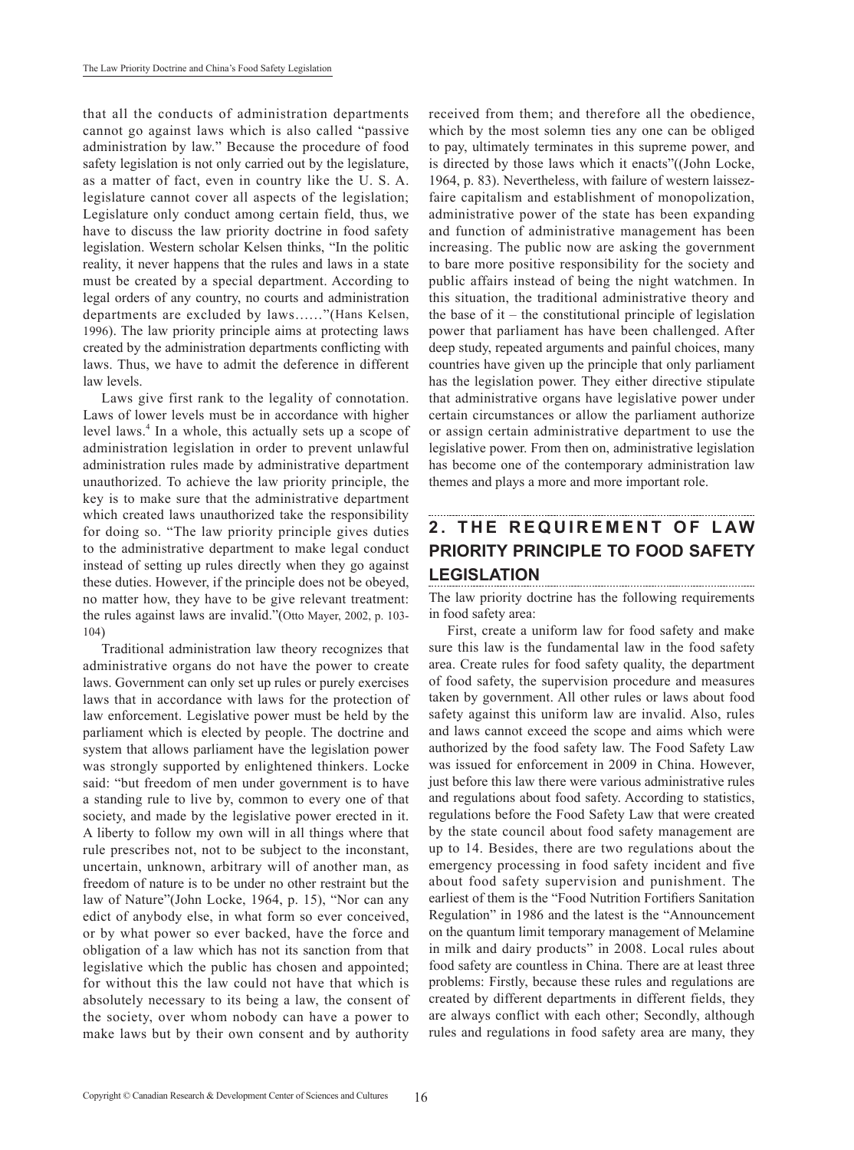that all the conducts of administration departments cannot go against laws which is also called "passive administration by law." Because the procedure of food safety legislation is not only carried out by the legislature, as a matter of fact, even in country like the U. S. A. legislature cannot cover all aspects of the legislation; Legislature only conduct among certain field, thus, we have to discuss the law priority doctrine in food safety legislation. Western scholar Kelsen thinks, "In the politic reality, it never happens that the rules and laws in a state must be created by a special department. According to legal orders of any country, no courts and administration departments are excluded by laws……"(Hans Kelsen, 1996). The law priority principle aims at protecting laws created by the administration departments conflicting with laws. Thus, we have to admit the deference in different law levels.

Laws give first rank to the legality of connotation. Laws of lower levels must be in accordance with higher level laws.<sup>4</sup> In a whole, this actually sets up a scope of administration legislation in order to prevent unlawful administration rules made by administrative department unauthorized. To achieve the law priority principle, the key is to make sure that the administrative department which created laws unauthorized take the responsibility for doing so. "The law priority principle gives duties to the administrative department to make legal conduct instead of setting up rules directly when they go against these duties. However, if the principle does not be obeyed, no matter how, they have to be give relevant treatment: the rules against laws are invalid."(Otto Mayer, 2002, p. 103- 104)

Traditional administration law theory recognizes that administrative organs do not have the power to create laws. Government can only set up rules or purely exercises laws that in accordance with laws for the protection of law enforcement. Legislative power must be held by the parliament which is elected by people. The doctrine and system that allows parliament have the legislation power was strongly supported by enlightened thinkers. Locke said: "but freedom of men under government is to have a standing rule to live by, common to every one of that society, and made by the legislative power erected in it. A liberty to follow my own will in all things where that rule prescribes not, not to be subject to the inconstant, uncertain, unknown, arbitrary will of another man, as freedom of nature is to be under no other restraint but the law of Nature"(John Locke, 1964, p. 15), "Nor can any edict of anybody else, in what form so ever conceived, or by what power so ever backed, have the force and obligation of a law which has not its sanction from that legislative which the public has chosen and appointed; for without this the law could not have that which is absolutely necessary to its being a law, the consent of the society, over whom nobody can have a power to make laws but by their own consent and by authority

received from them; and therefore all the obedience, which by the most solemn ties any one can be obliged to pay, ultimately terminates in this supreme power, and is directed by those laws which it enacts"((John Locke, 1964, p. 83). Nevertheless, with failure of western laissezfaire capitalism and establishment of monopolization, administrative power of the state has been expanding and function of administrative management has been increasing. The public now are asking the government to bare more positive responsibility for the society and public affairs instead of being the night watchmen. In this situation, the traditional administrative theory and the base of it – the constitutional principle of legislation power that parliament has have been challenged. After deep study, repeated arguments and painful choices, many countries have given up the principle that only parliament has the legislation power. They either directive stipulate that administrative organs have legislative power under certain circumstances or allow the parliament authorize or assign certain administrative department to use the legislative power. From then on, administrative legislation has become one of the contemporary administration law themes and plays a more and more important role.

# **2. THE REQUIREMENT OF LAW PRIORITY PRINCIPLE TO FOOD SAFETY LEGISLATION**

The law priority doctrine has the following requirements in food safety area:

First, create a uniform law for food safety and make sure this law is the fundamental law in the food safety area. Create rules for food safety quality, the department of food safety, the supervision procedure and measures taken by government. All other rules or laws about food safety against this uniform law are invalid. Also, rules and laws cannot exceed the scope and aims which were authorized by the food safety law. The Food Safety Law was issued for enforcement in 2009 in China. However, just before this law there were various administrative rules and regulations about food safety. According to statistics, regulations before the Food Safety Law that were created by the state council about food safety management are up to 14. Besides, there are two regulations about the emergency processing in food safety incident and five about food safety supervision and punishment. The earliest of them is the "Food Nutrition Fortifiers Sanitation Regulation" in 1986 and the latest is the "Announcement on the quantum limit temporary management of Melamine in milk and dairy products" in 2008. Local rules about food safety are countless in China. There are at least three problems: Firstly, because these rules and regulations are created by different departments in different fields, they are always conflict with each other; Secondly, although rules and regulations in food safety area are many, they